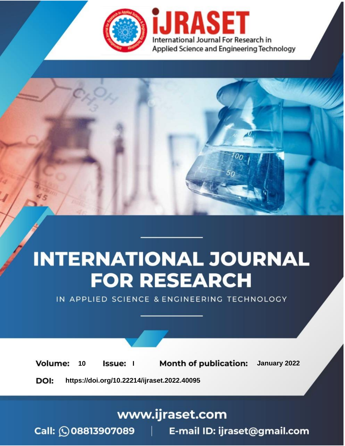

# **INTERNATIONAL JOURNAL FOR RESEARCH**

IN APPLIED SCIENCE & ENGINEERING TECHNOLOGY

**Month of publication:** January 2022 **Volume:** 10 **Issue:** I

DOI: https://doi.org/10.22214/ijraset.2022.40095

www.ijraset.com

Call: 008813907089 | E-mail ID: ijraset@gmail.com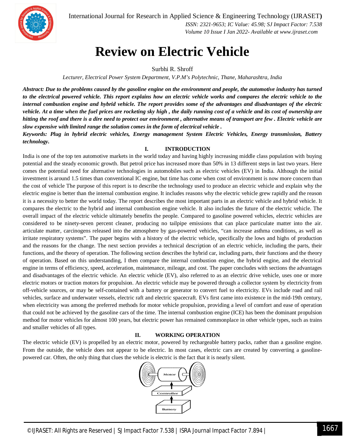

 *ISSN: 2321-9653; IC Value: 45.98; SJ Impact Factor: 7.538 Volume 10 Issue I Jan 2022- Available at www.ijraset.com*

# **Review on Electric Vehicle**

Surbhi R. Shroff

*Lecturer, Electrical Power System Department, V.P.M's Polytechnic, Thane, Maharashtra, India*

*Abstract: Due to the problems caused by the gasoline engine on the environment and people, the automotive industry has turned to the electrical powered vehicle. This report explains how an electric vehicle works and compares the electric vehicle to the internal combustion engine and hybrid vehicle. The report provides some of the advantages and disadvantages of the electric vehicle. At a time when the fuel prices are rocketing sky high , the daily running cost of a vehicle and its cost of ownership are hitting the roof and there is a dire need to protect our environment , alternative means of transport are few . Electric vehicle are slow expensive with limited range the solution comes in the form of electrical vehicle .*

*Keywords: Plug in hybrid electric vehicles, Energy management System Electric Vehicles, Energy transmission, Battery technology.*

# **I. INTRODUCTION**

India is one of the top ten automotive markets in the world today and having highly increasing middle class population with buying potential and the steady economic growth. But petrol price has increased more than 50% in 13 different steps in last two years. Here comes the potential need for alternative technologies in automobiles such as electric vehicles (EV) in India. Although the initial investment is around 1.5 times than conventional IC engine, but time has come when cost of environment is now more concern than the cost of vehicle The purpose of this report is to describe the technology used to produce an electric vehicle and explain why the electric engine is better than the internal combustion engine. It includes reasons why the electric vehicle grew rapidly and the reason it is a necessity to better the world today. The report describes the most important parts in an electric vehicle and hybrid vehicle. It compares the electric to the hybrid and internal combustion engine vehicle. It also includes the future of the electric vehicle. The overall impact of the electric vehicle ultimately benefits the people. Compared to gasoline powered vehicles, electric vehicles are considered to be ninety-seven percent cleaner, producing no tailpipe emissions that can place particulate matter into the air. articulate matter, carcinogens released into the atmosphere by gas-powered vehicles, "can increase asthma conditions, as well as irritate respiratory systems". The paper begins with a history of the electric vehicle, specifically the lows and highs of production and the reasons for the change. The next section provides a technical description of an electric vehicle, including the parts, their functions, and the theory of operation. The following section describes the hybrid car, including parts, their functions and the theory of operation. Based on this understanding, I then compare the internal combustion engine, the hybrid engine, and the electrical engine in terms of efficiency, speed, acceleration, maintenance, mileage, and cost. The paper concludes with sections the advantages and disadvantages of the electric vehicle. An electric vehicle (EV), also referred to as an electric drive vehicle, uses one or more electric motors or traction motors for propulsion. An electric vehicle may be powered through a collector system by electricity from off-vehicle sources, or may be self-contained with a battery or generator to convert fuel to electricity. EVs include road and rail vehicles, surface and underwater vessels, electric raft and electric spacecraft. EVs first came into existence in the mid-19th century, when electricity was among the preferred methods for motor vehicle propulsion, providing a level of comfort and ease of operation that could not be achieved by the gasoline cars of the time. The internal combustion engine (ICE) has been the dominant propulsion method for motor vehicles for almost 100 years, but electric power has remained commonplace in other vehicle types, such as trains and smaller vehicles of all types.

# **II. WORKING OPERATION**

The electric vehicle (EV) is propelled by an electric motor, powered by rechargeable battery packs, rather than a gasoline engine. From the outside, the vehicle does not appear to be electric. In most cases, electric cars are created by converting a gasolinepowered car. Often, the only thing that clues the vehicle is electric is the fact that it is nearly silent.

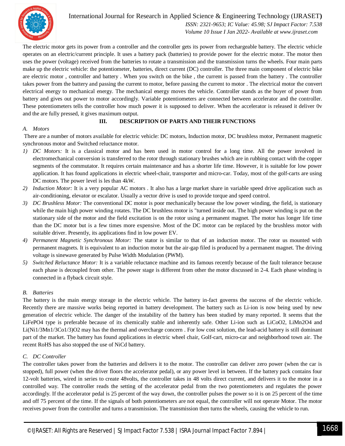

 *ISSN: 2321-9653; IC Value: 45.98; SJ Impact Factor: 7.538 Volume 10 Issue I Jan 2022- Available at www.ijraset.com*

The electric motor gets its power from a controller and the controller gets its power from rechargeable battery. The electric vehicle operates on an electric/current principle. It uses a battery pack (batteries) to provide power for the electric motor. The motor then uses the power (voltage) received from the batteries to rotate a transmission and the transmission turns the wheels. Four main parts make up the electric vehicle: the potentiometer, batteries, direct current (DC) controller. The three main component of electric bike are electric motor , controller and battery . When you switch on the bike , the current is passed from the battery . The controller takes power from the battery and passing the current to motor, before passing the current to motor . The electrical motor the convert electrical energy to mechanical energy. The mechanical energy moves the vehicle. Controller stands as the buyer of power from battery and gives out power to motor accordingly. Variable potentiometers are connected between accelerator and the controller. These potentiometers tells the controller how much power it is supposed to deliver. When the accelerator is released it deliver 0v and the are fully pressed, it gives maximum output.

# **III. DESCRIPTION OF PARTS AND THEIR FUNCTIONS**

# *A. Motors*

There are a number of motors available for electric vehicle: DC motors, Induction motor, DC brushless motor, Permanent magnetic synchronous motor and Switched reluctance motor.

- *1) DC Motors:* It is a classical motor and has been used in motor control for a long time. All the power involved in electromechanical conversion is transferred to the rotor through stationary brushes which are in rubbing contact with the copper segments of the commutator. It requires certain maintenance and has a shorter life time. However, it is suitable for low power application. It has found applications in electric wheel-chair, transporter and micro-car. Today, most of the golf-carts are using DC motors. The power level is les than 4kW.
- *2) Induction Motor:* It is a very popular AC motors . It also has a large market share in variable speed drive application such as air-conditioning, elevator or escalator. Usually a vector drive is used to provide torque and speed control.
- *3) DC Brushless Motor:* The conventional DC motor is poor mechanically because the low power winding, the field, is stationary while the main high power winding rotates. The DC brushless motor is "turned inside out. The high power winding is put on the stationary side of the motor and the field excitation is on the rotor using a permanent magnet. The motor has longer life time than the DC motor but is a few times more expensive. Most of the DC motor can be replaced by the brushless motor with suitable driver. Presently, its applications find in low power EV.
- *4) Permanent Magnetic Synchronous Motor:* The stator is similar to that of an induction motor. The rotor us mounted with permanent magnets. It is equivalent to an induction motor but the air-gap filed is produced by a permanent magnet. The driving voltage is sinewave generated by Pulse Width Modulation (PWM).
- *5) Switched Reluctance Motor:* It is a variable reluctance machine and its famous recently because of the fault tolerance because each phase is decoupled from other. The power stage is different from other the motor discussed in 2-4. Each phase winding is connected in a flyback circuit style.

# *B. Batteries*

The battery is the main energy storage in the electric vehicle. The battery in-fact governs the success of the electric vehicle. Recently there are massive works being reported in battery development. The battery such as Li-ion is now being used by new generation of electric vehicle. The danger of the instability of the battery has been studied by many reported. It seems that the LiFePO4 type is preferable because of its chemically stable and inherently safe. Other Li-ion such as LiCoO2, LiMn2O4 and Li(Ni1/3Mn1/3Co1/3)O2 may has the thermal and overcharge concern . For low cost solution, the lead-acid battery is still dominant part of the market. The battery has found applications in electric wheel chair, Golf-cart, micro-car and neighborhood town air. The recent RoHS has also stopped the use of NiCd battery.

# *C. DC Controller*

The controller takes power from the batteries and delivers it to the motor. The controller can deliver zero power (when the car is stopped), full power (when the driver floors the accelerator pedal), or any power level in between. If the battery pack contains four 12-volt batteries, wired in series to create 48volts, the controller takes in 48 volts direct current, and delivers it to the motor in a controlled way. The controller reads the setting of the accelerator pedal from the two potentiometers and regulates the power accordingly. If the accelerator pedal is 25 percent of the way down, the controller pulses the power so it is on 25 percent of the time and off 75 percent of the time. If the signals of both potentiometers are not equal, the controller will not operate Motor. The motor receives power from the controller and turns a transmission. The transmission then turns the wheels, causing the vehicle to run.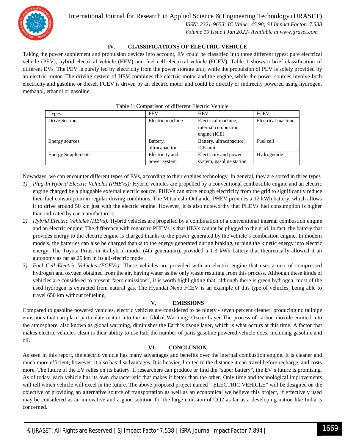

 *ISSN: 2321-9653; IC Value: 45.98; SJ Impact Factor: 7.538 Volume 10 Issue I Jan 2022- Available at www.ijraset.com*

# **IV. CLASSIFICATIONS OF ELECTRIC VEHICLE**

Taking the power supplement and propulsion devices into account, EV could be classified into three different types: pure electrical vehicle (PEV), hybrid electrical vehicle (HEV) and fuel cell electrical vehicle (FCEV). Table 1 shows a brief classification of different EVs. The PEV is purely fed by electricity from the power storage unit, while the propulsion of PEV is solely provided by an electric motor. The driving system of HEV combines the electric motor and the engine, while the power sources involve both electricity and gasoline or diesel. FCEV is driven by an electric motor and could be directly or indirectly powered using hydrogen, methanol, ethanol or gasoline.

| Types                     | <b>PEV</b>       | <b>HEV</b>               | <b>FCEV</b>        |
|---------------------------|------------------|--------------------------|--------------------|
| Drive Section             | Electric machine | Electrical machine.      | Electrical machine |
|                           |                  | internal combustion      |                    |
|                           |                  | engine (ICE)             |                    |
| Energy sources            | Battery,         | Battery, ultracapacitor, | Fuel cell          |
|                           | ultracapacitor   | ICE unit                 |                    |
| <b>Energy Supplements</b> | Electricity and  | Electricity and power    | Hydrogenide        |
|                           | power system     | system, gasoline station |                    |

### Table 1: Comparison of different Electric Vehicle

Nowadays, we can encounter different types of EVs, according to their engines technology. In general, they are sorted in three types

- *1) Plug-In Hybrid Electric Vehicles (PHEVs):* Hybrid vehicles are propelled by a conventional combustible engine and an electric engine charged by a pluggable external electric source. PHEVs can store enough electricity from the grid to significantly reduce their fuel consumption in regular driving conditions. The Mitsubishi Outlander PHEV provides a 12 kWh battery, which allows it to drive around 50 km just with the electric engine. However, it is also noteworthy that PHEVs fuel consumption is higher than indicated by car manufacturers.
- *2) Hybrid Electric Vehicles (HEVs):* Hybrid vehicles are propelled by a combination of a conventional internal combustion engine and an electric engine. The difference with regard to PHEVs is that HEVs cannot be plugged to the grid. In fact, the battery that provides energy to the electric engine is charged thanks to the power generated by the vehicle's combustion engine. In modern models, the batteries can also be charged thanks to the energy generated during braking, turning the kinetic energy into electric energy. The Toyota Prius, in its hybrid model (4th generation), provided a 1.3 kWh battery that theoretically allowed it an autonomy as far as 25 km in its all-electric mode .
- *3) Fuel Cell Electric Vehicles (FCEVs):* These vehicles are provided with an electric engine that uses a mix of compressed hydrogen and oxygen obtained from the air, having water as the only waste resulting from this process. Although these kinds of vehicles are considered to present "zero emissions", it is worth highlighting that, although there is green hydrogen, most of the used hydrogen is extracted from natural gas. The Hyundai Nexo FCEV is an example of this type of vehicles, being able to travel 650 km without refueling.

# **V. EMISSIONS**

Compared to gasoline powered vehicles, electric vehicles are considered to be ninety - seven percent cleaner, producing no tailpipe emissions that can place particulate matter into the air Global Warming: Ozone Layer The process of carbon dioxide emitted into the atmosphere, also known as global warming, diminishes the Earth's ozone layer, which is what occurs at this time. A factor that makes electric vehicles clean is their ability to use half the number of parts gasoline powered vehicle does, including gasoline and oil.

# **VI. CONCLUSION**

As seen in this report, the electric vehicle has many advantages and benefits over the internal combustion engine. It is cleaner and much more efficient; however, it also has disadvantages. It is heavier, limited to the distance it can travel before recharge, and costs more. The future of the EV relies on its battery. If researchers can produce or find the "super battery", the EV's future is promising. As of today, each vehicle has its own characteristic that makes it better than the other. Only time and technological improvements will tell which vehicle will excel in the future. The above proposed project named " ELECTRIC VEHICLE" will be designed on the objective of providing an alternative source of transportation as well as an economical we believe this project, if effectively used may be considered as an innovative and a good solution for the large emission of CO2 as far as a developing nation like India is concerned.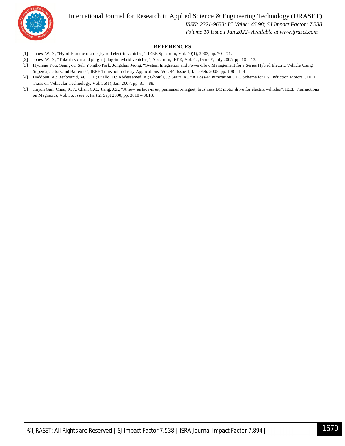

 *ISSN: 2321-9653; IC Value: 45.98; SJ Impact Factor: 7.538*

### *Volume 10 Issue I Jan 2022- Available at www.ijraset.com*

### **REFERENCES**

- [1] Jones, W.D., "Hybrids to the rescue [hybrid electric vehicles]", IEEE Spectrum, Vol. 40(1), 2003, pp. 70 71.
- [2] Jones, W.D., "Take this car and plug it [plug-in hybrid vehicles]", Spectrum, IEEE, Vol. 42, Issue 7, July 2005, pp. 10 13.
- [3] Hyunjae Yoo; Seung-Ki Sul; Yongho Park; Jongchan Jeong, "System Integration and Power-Flow Management for a Series Hybrid Electric Vehicle Using Supercapacitors and Batteries", IEEE Trans. on Industry Applications, Vol. 44, Issue 1, Jan.-Feb. 2008, pp. 108 – 114.
- [4] Haddoun, A.; Benbouzid, M. E. H.; Diallo, D.; Abdessemed, R.; Ghouili, J.; Srairi, K., "A Loss-Minimization DTC Scheme for EV Induction Motors", IEEE Trans on Vehicular Technology, Vol. 56(1), Jan. 2007, pp. 81 – 88.
- [5] Jinyun Gan; Chau, K.T.; Chan, C.C.; Jiang, J.Z., "A new surface-inset, permanent-magnet, brushless DC motor drive for electric vehicles", IEEE Transactions on Magnetics, Vol. 36, Issue 5, Part 2, Sept 2000, pp. 3810 – 3818.